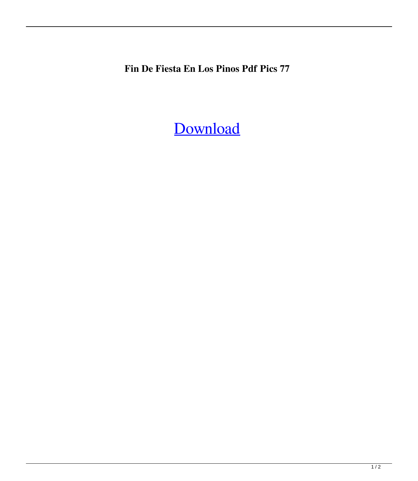**Fin De Fiesta En Los Pinos Pdf Pics 77**

[Download](http://evacdir.com/peole/ribble/?signin=ketchikan/RmluIERlIEZpZXN0YSBFbiBMb3MgUGlub3MucGRmRml/ZG93bmxvYWR8Umc0WVROaFpIeDhNVFkxTlRnME1qazRNWHg4TWpVNU9IeDhLRTBwSUVSeWRYQmhiQ0JiUm1sc1pTQlZjR3h2WVdSZA/margaretten)